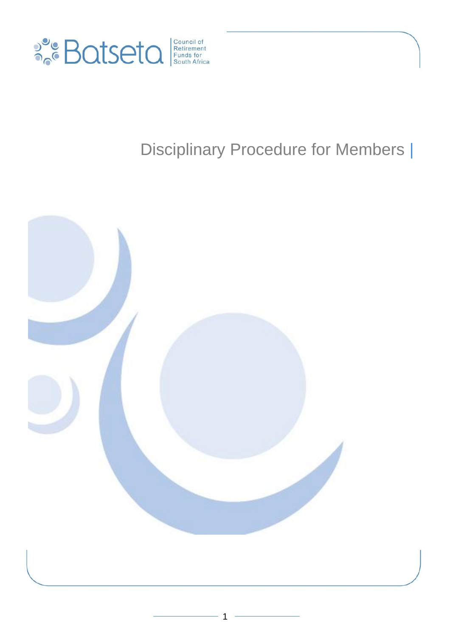

# Disciplinary Procedure for Members |

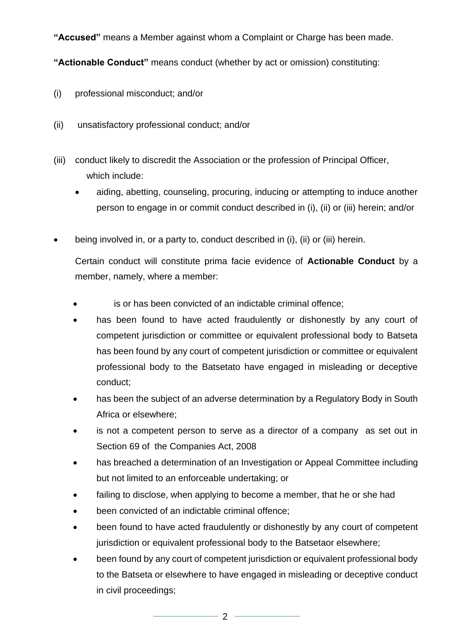**"Accused"** means a Member against whom a Complaint or Charge has been made.

**"Actionable Conduct"** means conduct (whether by act or omission) constituting:

- (i) professional misconduct; and/or
- (ii) unsatisfactory professional conduct; and/or
- (iii) conduct likely to discredit the Association or the profession of Principal Officer, which include:
	- aiding, abetting, counseling, procuring, inducing or attempting to induce another person to engage in or commit conduct described in (i), (ii) or (iii) herein; and/or
- being involved in, or a party to, conduct described in (i), (ii) or (iii) herein.

Certain conduct will constitute prima facie evidence of **Actionable Conduct** by a member, namely, where a member:

- is or has been convicted of an indictable criminal offence;
- has been found to have acted fraudulently or dishonestly by any court of competent jurisdiction or committee or equivalent professional body to Batseta has been found by any court of competent jurisdiction or committee or equivalent professional body to the Batsetato have engaged in misleading or deceptive conduct;
- has been the subject of an adverse determination by a Regulatory Body in South Africa or elsewhere;
- is not a competent person to serve as a director of a company as set out in Section 69 of the Companies Act, 2008
- has breached a determination of an Investigation or Appeal Committee including but not limited to an enforceable undertaking; or
- failing to disclose, when applying to become a member, that he or she had
- been convicted of an indictable criminal offence;
- been found to have acted fraudulently or dishonestly by any court of competent jurisdiction or equivalent professional body to the Batsetaor elsewhere;
- been found by any court of competent jurisdiction or equivalent professional body to the Batseta or elsewhere to have engaged in misleading or deceptive conduct in civil proceedings;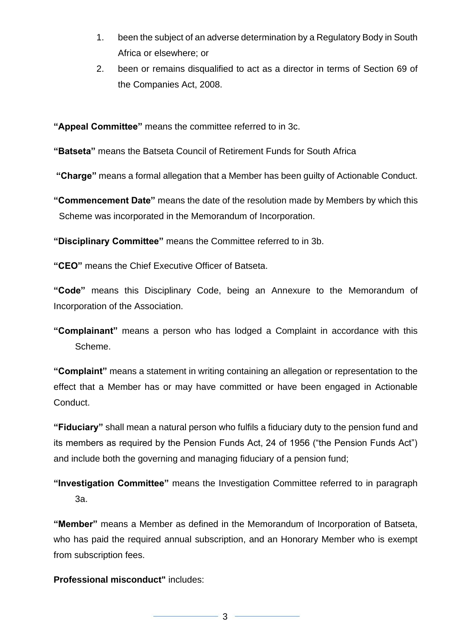- 1. been the subject of an adverse determination by a Regulatory Body in South Africa or elsewhere; or
- 2. been or remains disqualified to act as a director in terms of Section 69 of the Companies Act, 2008.

**"Appeal Committee"** means the committee referred to in 3c.

**"Batseta"** means the Batseta Council of Retirement Funds for South Africa

**"Charge"** means a formal allegation that a Member has been guilty of Actionable Conduct.

**"Commencement Date"** means the date of the resolution made by Members by which this Scheme was incorporated in the Memorandum of Incorporation.

**"Disciplinary Committee"** means the Committee referred to in 3b.

**"CEO"** means the Chief Executive Officer of Batseta.

**"Code"** means this Disciplinary Code, being an Annexure to the Memorandum of Incorporation of the Association.

**"Complainant"** means a person who has lodged a Complaint in accordance with this Scheme.

**"Complaint"** means a statement in writing containing an allegation or representation to the effect that a Member has or may have committed or have been engaged in Actionable Conduct.

**"Fiduciary"** shall mean a natural person who fulfils a fiduciary duty to the pension fund and its members as required by the Pension Funds Act, 24 of 1956 ("the Pension Funds Act") and include both the governing and managing fiduciary of a pension fund;

**"Investigation Committee"** means the Investigation Committee referred to in paragraph 3a.

**"Member"** means a Member as defined in the Memorandum of Incorporation of Batseta, who has paid the required annual subscription, and an Honorary Member who is exempt from subscription fees.

**Professional misconduct"** includes:

3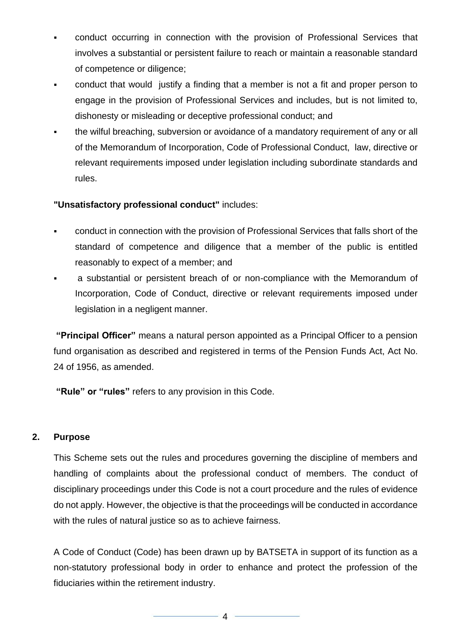- conduct occurring in connection with the provision of Professional Services that involves a substantial or persistent failure to reach or maintain a reasonable standard of competence or diligence;
- conduct that would justify a finding that a member is not a fit and proper person to engage in the provision of Professional Services and includes, but is not limited to, dishonesty or misleading or deceptive professional conduct; and
- the wilful breaching, subversion or avoidance of a mandatory requirement of any or all of the Memorandum of Incorporation, Code of Professional Conduct, law, directive or relevant requirements imposed under legislation including subordinate standards and rules.

#### **"Unsatisfactory professional conduct"** includes:

- conduct in connection with the provision of Professional Services that falls short of the standard of competence and diligence that a member of the public is entitled reasonably to expect of a member; and
- a substantial or persistent breach of or non-compliance with the Memorandum of Incorporation, Code of Conduct, directive or relevant requirements imposed under legislation in a negligent manner.

**"Principal Officer"** means a natural person appointed as a Principal Officer to a pension fund organisation as described and registered in terms of the Pension Funds Act, Act No. 24 of 1956, as amended.

**"Rule" or "rules"** refers to any provision in this Code.

#### **2. Purpose**

This Scheme sets out the rules and procedures governing the discipline of members and handling of complaints about the professional conduct of members. The conduct of disciplinary proceedings under this Code is not a court procedure and the rules of evidence do not apply. However, the objective is that the proceedings will be conducted in accordance with the rules of natural justice so as to achieve fairness.

A Code of Conduct (Code) has been drawn up by BATSETA in support of its function as a non-statutory professional body in order to enhance and protect the profession of the fiduciaries within the retirement industry.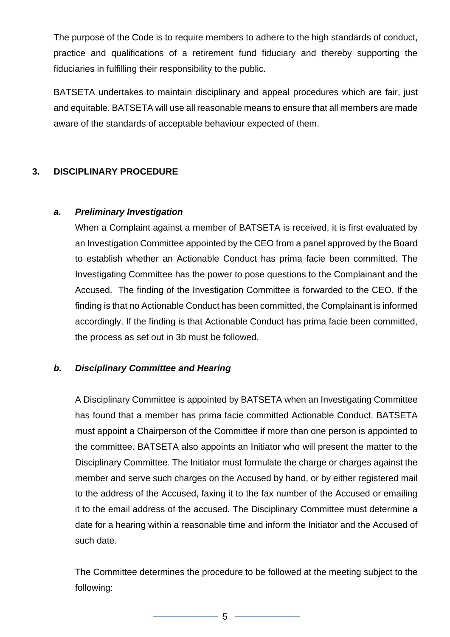The purpose of the Code is to require members to adhere to the high standards of conduct, practice and qualifications of a retirement fund fiduciary and thereby supporting the fiduciaries in fulfilling their responsibility to the public.

BATSETA undertakes to maintain disciplinary and appeal procedures which are fair, just and equitable. BATSETA will use all reasonable means to ensure that all members are made aware of the standards of acceptable behaviour expected of them.

# **3. DISCIPLINARY PROCEDURE**

#### *a. Preliminary Investigation*

When a Complaint against a member of BATSETA is received, it is first evaluated by an Investigation Committee appointed by the CEO from a panel approved by the Board to establish whether an Actionable Conduct has prima facie been committed. The Investigating Committee has the power to pose questions to the Complainant and the Accused. The finding of the Investigation Committee is forwarded to the CEO. If the finding is that no Actionable Conduct has been committed, the Complainant is informed accordingly. If the finding is that Actionable Conduct has prima facie been committed, the process as set out in 3b must be followed.

# *b. Disciplinary Committee and Hearing*

A Disciplinary Committee is appointed by BATSETA when an Investigating Committee has found that a member has prima facie committed Actionable Conduct. BATSETA must appoint a Chairperson of the Committee if more than one person is appointed to the committee. BATSETA also appoints an Initiator who will present the matter to the Disciplinary Committee. The Initiator must formulate the charge or charges against the member and serve such charges on the Accused by hand, or by either registered mail to the address of the Accused, faxing it to the fax number of the Accused or emailing it to the email address of the accused. The Disciplinary Committee must determine a date for a hearing within a reasonable time and inform the Initiator and the Accused of such date.

The Committee determines the procedure to be followed at the meeting subject to the following: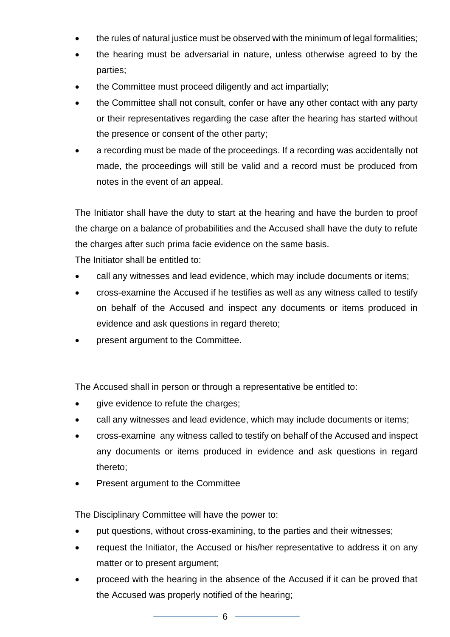- the rules of natural justice must be observed with the minimum of legal formalities;
- the hearing must be adversarial in nature, unless otherwise agreed to by the parties;
- the Committee must proceed diligently and act impartially;
- the Committee shall not consult, confer or have any other contact with any party or their representatives regarding the case after the hearing has started without the presence or consent of the other party;
- a recording must be made of the proceedings. If a recording was accidentally not made, the proceedings will still be valid and a record must be produced from notes in the event of an appeal.

The Initiator shall have the duty to start at the hearing and have the burden to proof the charge on a balance of probabilities and the Accused shall have the duty to refute the charges after such prima facie evidence on the same basis.

The Initiator shall be entitled to:

- call any witnesses and lead evidence, which may include documents or items;
- cross-examine the Accused if he testifies as well as any witness called to testify on behalf of the Accused and inspect any documents or items produced in evidence and ask questions in regard thereto;
- present argument to the Committee.

The Accused shall in person or through a representative be entitled to:

- give evidence to refute the charges;
- call any witnesses and lead evidence, which may include documents or items;
- cross-examine any witness called to testify on behalf of the Accused and inspect any documents or items produced in evidence and ask questions in regard thereto;
- Present argument to the Committee

The Disciplinary Committee will have the power to:

- put questions, without cross-examining, to the parties and their witnesses;
- request the Initiator, the Accused or his/her representative to address it on any matter or to present argument;
- proceed with the hearing in the absence of the Accused if it can be proved that the Accused was properly notified of the hearing;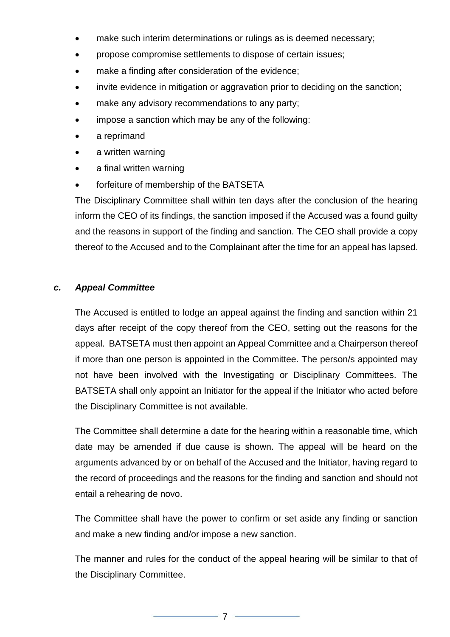- make such interim determinations or rulings as is deemed necessary;
- propose compromise settlements to dispose of certain issues;
- make a finding after consideration of the evidence;
- invite evidence in mitigation or aggravation prior to deciding on the sanction;
- make any advisory recommendations to any party;
- impose a sanction which may be any of the following:
- a reprimand
- a written warning
- a final written warning
- forfeiture of membership of the BATSETA

The Disciplinary Committee shall within ten days after the conclusion of the hearing inform the CEO of its findings, the sanction imposed if the Accused was a found guilty and the reasons in support of the finding and sanction. The CEO shall provide a copy thereof to the Accused and to the Complainant after the time for an appeal has lapsed.

# *c. Appeal Committee*

The Accused is entitled to lodge an appeal against the finding and sanction within 21 days after receipt of the copy thereof from the CEO, setting out the reasons for the appeal. BATSETA must then appoint an Appeal Committee and a Chairperson thereof if more than one person is appointed in the Committee. The person/s appointed may not have been involved with the Investigating or Disciplinary Committees. The BATSETA shall only appoint an Initiator for the appeal if the Initiator who acted before the Disciplinary Committee is not available.

The Committee shall determine a date for the hearing within a reasonable time, which date may be amended if due cause is shown. The appeal will be heard on the arguments advanced by or on behalf of the Accused and the Initiator, having regard to the record of proceedings and the reasons for the finding and sanction and should not entail a rehearing de novo.

The Committee shall have the power to confirm or set aside any finding or sanction and make a new finding and/or impose a new sanction.

The manner and rules for the conduct of the appeal hearing will be similar to that of the Disciplinary Committee.